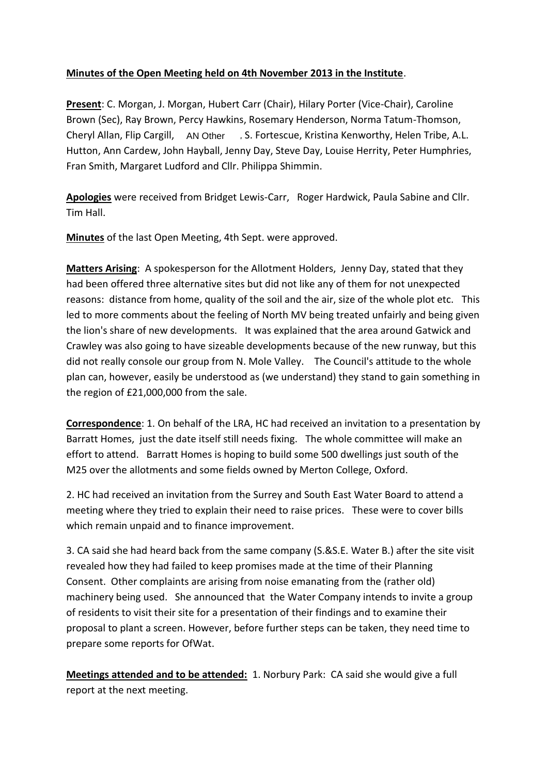# **Minutes of the Open Meeting held on 4th November 2013 in the Institute**.

**Present**: C. Morgan, J. Morgan, Hubert Carr (Chair), Hilary Porter (Vice-Chair), Caroline Brown (Sec), Ray Brown, Percy Hawkins, Rosemary Henderson, Norma Tatum-Thomson, Cheryl Allan, Flip Cargill, AN Other , S. Fortescue, Kristina Kenworthy, Helen Tribe, A.L. Hutton, Ann Cardew, John Hayball, Jenny Day, Steve Day, Louise Herrity, Peter Humphries, Fran Smith, Margaret Ludford and Cllr. Philippa Shimmin.

**Apologies** were received from Bridget Lewis-Carr, Roger Hardwick, Paula Sabine and Cllr. Tim Hall.

**Minutes** of the last Open Meeting, 4th Sept. were approved.

**Matters Arising**: A spokesperson for the Allotment Holders, Jenny Day, stated that they had been offered three alternative sites but did not like any of them for not unexpected reasons: distance from home, quality of the soil and the air, size of the whole plot etc. This led to more comments about the feeling of North MV being treated unfairly and being given the lion's share of new developments. It was explained that the area around Gatwick and Crawley was also going to have sizeable developments because of the new runway, but this did not really console our group from N. Mole Valley. The Council's attitude to the whole plan can, however, easily be understood as (we understand) they stand to gain something in the region of £21,000,000 from the sale.

**Correspondence**: 1. On behalf of the LRA, HC had received an invitation to a presentation by Barratt Homes, just the date itself still needs fixing. The whole committee will make an effort to attend. Barratt Homes is hoping to build some 500 dwellings just south of the M25 over the allotments and some fields owned by Merton College, Oxford.

2. HC had received an invitation from the Surrey and South East Water Board to attend a meeting where they tried to explain their need to raise prices. These were to cover bills which remain unpaid and to finance improvement.

3. CA said she had heard back from the same company (S.&S.E. Water B.) after the site visit revealed how they had failed to keep promises made at the time of their Planning Consent. Other complaints are arising from noise emanating from the (rather old) machinery being used. She announced that the Water Company intends to invite a group of residents to visit their site for a presentation of their findings and to examine their proposal to plant a screen. However, before further steps can be taken, they need time to prepare some reports for OfWat.

**Meetings attended and to be attended:** 1. Norbury Park: CA said she would give a full report at the next meeting.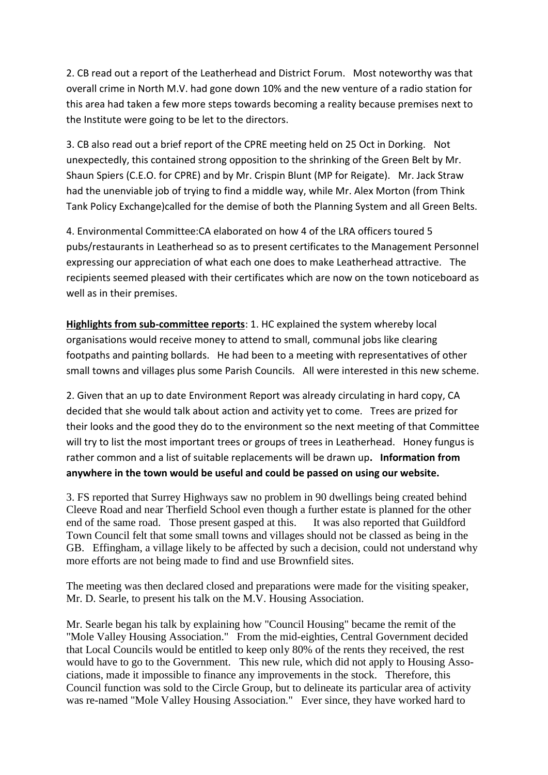2. CB read out a report of the Leatherhead and District Forum. Most noteworthy was that overall crime in North M.V. had gone down 10% and the new venture of a radio station for this area had taken a few more steps towards becoming a reality because premises next to the Institute were going to be let to the directors.

3. CB also read out a brief report of the CPRE meeting held on 25 Oct in Dorking. Not unexpectedly, this contained strong opposition to the shrinking of the Green Belt by Mr. Shaun Spiers (C.E.O. for CPRE) and by Mr. Crispin Blunt (MP for Reigate). Mr. Jack Straw had the unenviable job of trying to find a middle way, while Mr. Alex Morton (from Think Tank Policy Exchange)called for the demise of both the Planning System and all Green Belts.

4. Environmental Committee:CA elaborated on how 4 of the LRA officers toured 5 pubs/restaurants in Leatherhead so as to present certificates to the Management Personnel expressing our appreciation of what each one does to make Leatherhead attractive. The recipients seemed pleased with their certificates which are now on the town noticeboard as well as in their premises.

**Highlights from sub-committee reports**: 1. HC explained the system whereby local organisations would receive money to attend to small, communal jobs like clearing footpaths and painting bollards. He had been to a meeting with representatives of other small towns and villages plus some Parish Councils. All were interested in this new scheme.

2. Given that an up to date Environment Report was already circulating in hard copy, CA decided that she would talk about action and activity yet to come. Trees are prized for their looks and the good they do to the environment so the next meeting of that Committee will try to list the most important trees or groups of trees in Leatherhead. Honey fungus is rather common and a list of suitable replacements will be drawn up**. Information from anywhere in the town would be useful and could be passed on using our website.**

3. FS reported that Surrey Highways saw no problem in 90 dwellings being created behind Cleeve Road and near Therfield School even though a further estate is planned for the other end of the same road. Those present gasped at this. It was also reported that Guildford Town Council felt that some small towns and villages should not be classed as being in the GB. Effingham, a village likely to be affected by such a decision, could not understand why more efforts are not being made to find and use Brownfield sites.

The meeting was then declared closed and preparations were made for the visiting speaker, Mr. D. Searle, to present his talk on the M.V. Housing Association.

Mr. Searle began his talk by explaining how "Council Housing" became the remit of the "Mole Valley Housing Association." From the mid-eighties, Central Government decided that Local Councils would be entitled to keep only 80% of the rents they received, the rest would have to go to the Government. This new rule, which did not apply to Housing Associations, made it impossible to finance any improvements in the stock. Therefore, this Council function was sold to the Circle Group, but to delineate its particular area of activity was re-named "Mole Valley Housing Association." Ever since, they have worked hard to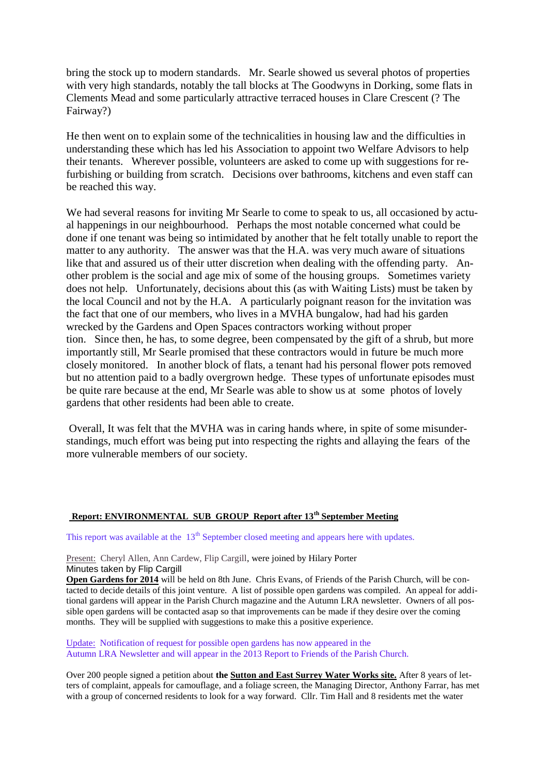bring the stock up to modern standards. Mr. Searle showed us several photos of properties with very high standards, notably the tall blocks at The Goodwyns in Dorking, some flats in Clements Mead and some particularly attractive terraced houses in Clare Crescent (? The Fairway?)

He then went on to explain some of the technicalities in housing law and the difficulties in understanding these which has led his Association to appoint two Welfare Advisors to help their tenants. Wherever possible, volunteers are asked to come up with suggestions for refurbishing or building from scratch. Decisions over bathrooms, kitchens and even staff can be reached this way.

We had several reasons for inviting Mr Searle to come to speak to us, all occasioned by actual happenings in our neighbourhood. Perhaps the most notable concerned what could be done if one tenant was being so intimidated by another that he felt totally unable to report the matter to any authority. The answer was that the H.A. was very much aware of situations like that and assured us of their utter discretion when dealing with the offending party. Another problem is the social and age mix of some of the housing groups. Sometimes variety does not help. Unfortunately, decisions about this (as with Waiting Lists) must be taken by the local Council and not by the H.A. A particularly poignant reason for the invitation was the fact that one of our members, who lives in a MVHA bungalow, had had his garden wrecked by the Gardens and Open Spaces contractors working without proper tion. Since then, he has, to some degree, been compensated by the gift of a shrub, but more importantly still, Mr Searle promised that these contractors would in future be much more closely monitored. In another block of flats, a tenant had his personal flower pots removed but no attention paid to a badly overgrown hedge. These types of unfortunate episodes must be quite rare because at the end, Mr Searle was able to show us at some photos of lovely gardens that other residents had been able to create.

 Overall, It was felt that the MVHA was in caring hands where, in spite of some misunderstandings, much effort was being put into respecting the rights and allaying the fears of the more vulnerable members of our society.

### **Report: ENVIRONMENTAL SUB GROUP Report after 13th September Meeting**

This report was available at the  $13<sup>th</sup>$  September closed meeting and appears here with updates.

Present: Cheryl Allen, Ann Cardew, Flip Cargill, were joined by Hilary Porter Minutes taken by Flip Cargill

**Open Gardens for 2014** will be held on 8th June. Chris Evans, of Friends of the Parish Church, will be contacted to decide details of this joint venture. A list of possible open gardens was compiled. An appeal for additional gardens will appear in the Parish Church magazine and the Autumn LRA newsletter. Owners of all possible open gardens will be contacted asap so that improvements can be made if they desire over the coming months. They will be supplied with suggestions to make this a positive experience.

Update: Notification of request for possible open gardens has now appeared in the Autumn LRA Newsletter and will appear in the 2013 Report to Friends of the Parish Church.

Over 200 people signed a petition about **the Sutton and East Surrey Water Works site.** After 8 years of letters of complaint, appeals for camouflage, and a foliage screen, the Managing Director, Anthony Farrar, has met with a group of concerned residents to look for a way forward. Cllr. Tim Hall and 8 residents met the water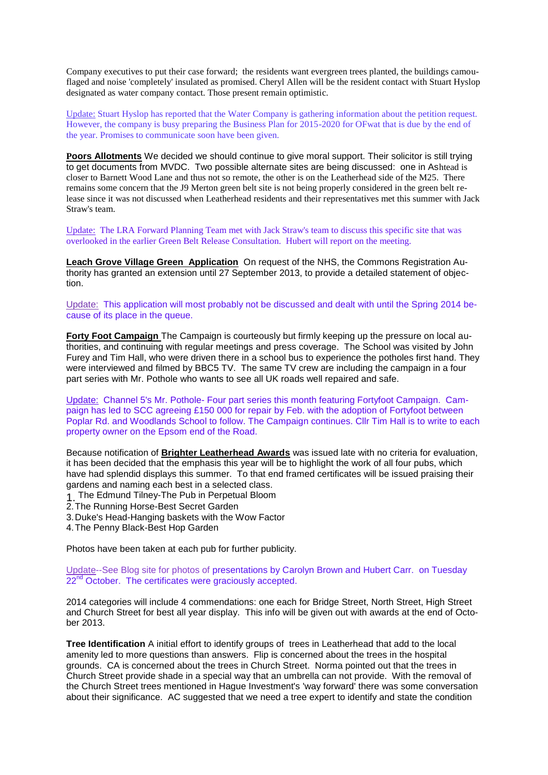Company executives to put their case forward; the residents want evergreen trees planted, the buildings camouflaged and noise 'completely' insulated as promised. Cheryl Allen will be the resident contact with Stuart Hyslop designated as water company contact. Those present remain optimistic.

Update: Stuart Hyslop has reported that the Water Company is gathering information about the petition request. However, the company is busy preparing the Business Plan for 2015-2020 for OFwat that is due by the end of the year. Promises to communicate soon have been given.

**Poors Allotments** We decided we should continue to give moral support. Their solicitor is still trying to get documents from MVDC. Two possible alternate sites are being discussed: one in Ashtead is closer to Barnett Wood Lane and thus not so remote, the other is on the Leatherhead side of the M25. There remains some concern that the J9 Merton green belt site is not being properly considered in the green belt release since it was not discussed when Leatherhead residents and their representatives met this summer with Jack Straw's team.

Update: The LRA Forward Planning Team met with Jack Straw's team to discuss this specific site that was overlooked in the earlier Green Belt Release Consultation. Hubert will report on the meeting.

**Leach Grove Village Green Application** On request of the NHS, the Commons Registration Authority has granted an extension until 27 September 2013, to provide a detailed statement of objection.

Update: This application will most probably not be discussed and dealt with until the Spring 2014 because of its place in the queue.

**Forty Foot Campaign** The Campaign is courteously but firmly keeping up the pressure on local authorities, and continuing with regular meetings and press coverage. The School was visited by John Furey and Tim Hall, who were driven there in a school bus to experience the potholes first hand. They were interviewed and filmed by BBC5 TV. The same TV crew are including the campaign in a four part series with Mr. Pothole who wants to see all UK roads well repaired and safe.

Update: Channel 5's Mr. Pothole- Four part series this month featuring Fortyfoot Campaign. Campaign has led to SCC agreeing £150 000 for repair by Feb. with the adoption of Fortyfoot between Poplar Rd. and Woodlands School to follow. The Campaign continues. Cllr Tim Hall is to write to each property owner on the Epsom end of the Road.

Because notification of **Brighter Leatherhead Awards** was issued late with no criteria for evaluation, it has been decided that the emphasis this year will be to highlight the work of all four pubs, which have had splendid displays this summer. To that end framed certificates will be issued praising their gardens and naming each best in a selected class.

- 1 The Edmund Tilney-The Pub in Perpetual Bloom
- 2.The Running Horse-Best Secret Garden
- 3.Duke's Head-Hanging baskets with the Wow Factor
- 4.The Penny Black-Best Hop Garden

Photos have been taken at each pub for further publicity.

Update--See Blog site for photos of presentations by Carolyn Brown and Hubert Carr. on Tuesday 22<sup>nd</sup> October. The certificates were graciously accepted.

2014 categories will include 4 commendations: one each for Bridge Street, North Street, High Street and Church Street for best all year display. This info will be given out with awards at the end of October 2013.

**Tree Identification** A initial effort to identify groups of trees in Leatherhead that add to the local amenity led to more questions than answers. Flip is concerned about the trees in the hospital grounds. CA is concerned about the trees in Church Street. Norma pointed out that the trees in Church Street provide shade in a special way that an umbrella can not provide. With the removal of the Church Street trees mentioned in Hague Investment's 'way forward' there was some conversation about their significance. AC suggested that we need a tree expert to identify and state the condition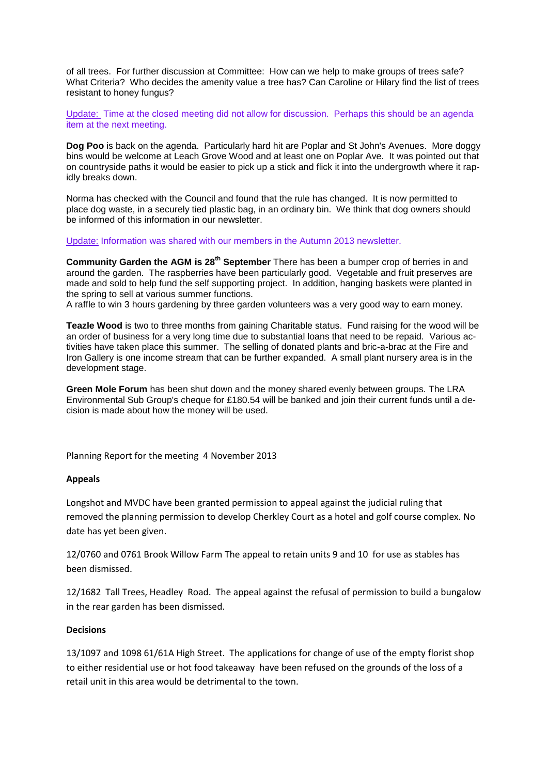of all trees. For further discussion at Committee: How can we help to make groups of trees safe? What Criteria? Who decides the amenity value a tree has? Can Caroline or Hilary find the list of trees resistant to honey fungus?

Update: Time at the closed meeting did not allow for discussion. Perhaps this should be an agenda item at the next meeting.

**Dog Poo** is back on the agenda. Particularly hard hit are Poplar and St John's Avenues. More doggy bins would be welcome at Leach Grove Wood and at least one on Poplar Ave. It was pointed out that on countryside paths it would be easier to pick up a stick and flick it into the undergrowth where it rapidly breaks down.

Norma has checked with the Council and found that the rule has changed. It is now permitted to place dog waste, in a securely tied plastic bag, in an ordinary bin. We think that dog owners should be informed of this information in our newsletter.

Update: Information was shared with our members in the Autumn 2013 newsletter.

**Community Garden the AGM is 28<sup>th</sup> September** There has been a bumper crop of berries in and around the garden. The raspberries have been particularly good. Vegetable and fruit preserves are made and sold to help fund the self supporting project. In addition, hanging baskets were planted in the spring to sell at various summer functions.

A raffle to win 3 hours gardening by three garden volunteers was a very good way to earn money.

**Teazle Wood** is two to three months from gaining Charitable status. Fund raising for the wood will be an order of business for a very long time due to substantial loans that need to be repaid. Various activities have taken place this summer. The selling of donated plants and bric-a-brac at the Fire and Iron Gallery is one income stream that can be further expanded. A small plant nursery area is in the development stage.

**Green Mole Forum** has been shut down and the money shared evenly between groups. The LRA Environmental Sub Group's cheque for £180.54 will be banked and join their current funds until a decision is made about how the money will be used.

Planning Report for the meeting 4 November 2013

#### **Appeals**

Longshot and MVDC have been granted permission to appeal against the judicial ruling that removed the planning permission to develop Cherkley Court as a hotel and golf course complex. No date has yet been given.

12/0760 and 0761 Brook Willow Farm The appeal to retain units 9 and 10 for use as stables has been dismissed.

12/1682 Tall Trees, Headley Road. The appeal against the refusal of permission to build a bungalow in the rear garden has been dismissed.

### **Decisions**

13/1097 and 1098 61/61A High Street. The applications for change of use of the empty florist shop to either residential use or hot food takeaway have been refused on the grounds of the loss of a retail unit in this area would be detrimental to the town.